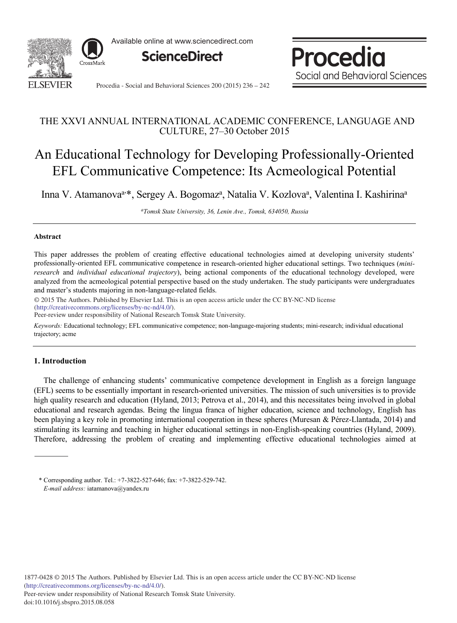

Available online at www.sciencedirect.com



Procedia Social and Behavioral Sciences

Procedia - Social and Behavioral Sciences 200 (2015) 236 - 242

# THE XXVI ANNUAL INTERNATIONAL ACADEMIC CONFERENCE, LANGUAGE AND CULTURE, 27–30 October 2015

# An Educational Technology for Developing Professionally-Oriented EFL Communicative Competence: Its Acmeological Potential

Inna V. Atamanova<sup>a,\*</sup>, Sergey A. Bogomaz<sup>a</sup>, Natalia V. Kozlova<sup>a</sup>, Valentina I. Kashirina<sup>a</sup>

*ᵃTomsk State University, 36, Lenin Ave., Tomsk, 634050, Russia*

### **Abstract**

This paper addresses the problem of creating effective educational technologies aimed at developing university students' professionally-oriented EFL communicative competence in research-oriented higher educational settings. Two techniques (*miniresearch* and *individual educational trajectory*), being actional components of the educational technology developed, were analyzed from the acmeological potential perspective based on the study undertaken. The study participants were undergraduates and master's students majoring in non-language-related fields.

© 2015 The Authors. Published by Elsevier Ltd. © 2015 The Authors. Published by Elsevier Ltd. This is an open access article under the CC BY-NC-ND license (http://creativecommons.org/licenses/by-nc-nd/4.0/).

Peer-review under responsibility of National Research Tomsk State University.

*Keywords:* Educational technology; EFL communicative competence; non-language-majoring students; mini-research; individual educational trajectory; acme

# **1. Introduction**

The challenge of enhancing students' communicative competence development in English as a foreign language (EFL) seems to be essentially important in research-oriented universities. The mission of such universities is to provide high quality research and education (Hyland, 2013; Petrova et al., 2014), and this necessitates being involved in global educational and research agendas. Being the lingua franca of higher education, science and technology, English has been playing a key role in promoting international cooperation in these spheres (Muresan & Pérez-Llantada, 2014) and stimulating its learning and teaching in higher educational settings in non-English-speaking countries (Hyland, 2009). Therefore, addressing the problem of creating and implementing effective educational technologies aimed at

<sup>\*</sup> Corresponding author. Tel.: +7-3822-527-646; fax: +7-3822-529-742. *E-mail address:* iatamanova@yandex.ru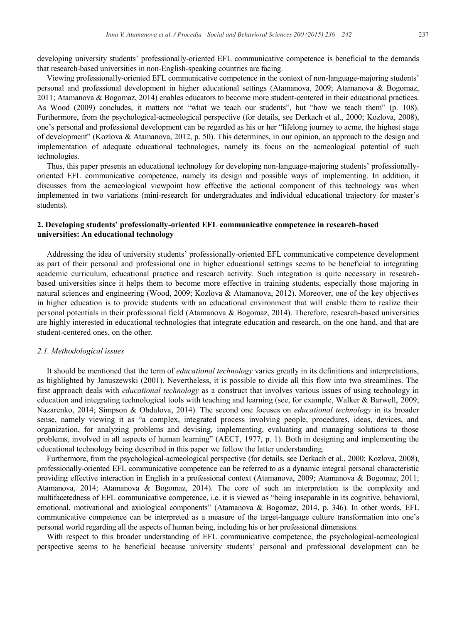developing university students' professionally-oriented EFL communicative competence is beneficial to the demands that research-based universities in non-English-speaking countries are facing.

Viewing professionally-oriented EFL communicative competence in the context of non-language-majoring students' personal and professional development in higher educational settings (Atamanova, 2009; Atamanova & Bogomaz, 2011; Atamanova & Bogomaz, 2014) enables educators to become more student-centered in their educational practices. As Wood (2009) concludes, it matters not "what we teach our students", but "how we teach them" (p. 108). Furthermore, from the psychological-acmeological perspective (for details, see Derkach et al., 2000; Kozlova, 2008), one's personal and professional development can be regarded as his or her "lifelong journey to acme, the highest stage of development" (Kozlova & Atamanova, 2012, p. 50). This determines, in our opinion, an approach to the design and implementation of adequate educational technologies, namely its focus on the acmeological potential of such technologies.

Thus, this paper presents an educational technology for developing non-language-majoring students' professionallyoriented EFL communicative competence, namely its design and possible ways of implementing. In addition, it discusses from the acmeological viewpoint how effective the actional component of this technology was when implemented in two variations (mini-research for undergraduates and individual educational trajectory for master's students).

# **2. Developing students' professionally-oriented EFL communicative competence in research-based universities: An educational technology**

Addressing the idea of university students' professionally-oriented EFL communicative competence development as part of their personal and professional one in higher educational settings seems to be beneficial to integrating academic curriculum, educational practice and research activity. Such integration is quite necessary in researchbased universities since it helps them to become more effective in training students, especially those majoring in natural sciences and engineering (Wood, 2009; Kozlova & Atamanova, 2012). Moreover, one of the key objectives in higher education is to provide students with an educational environment that will enable them to realize their personal potentials in their professional field (Atamanova & Bogomaz, 2014). Therefore, research-based universities are highly interested in educational technologies that integrate education and research, on the one hand, and that are student-centered ones, on the other.

#### *2.1. Methodological issues*

It should be mentioned that the term of *educational technology* varies greatly in its definitions and interpretations, as highlighted by Januszewski (2001). Nevertheless, it is possible to divide all this flow into two streamlines. The first approach deals with *educational technology* as a construct that involves various issues of using technology in education and integrating technological tools with teaching and learning (see, for example, Walker & Barwell, 2009; Nazarenko, 2014; Simpson & Obdalova, 2014). The second one focuses on *educational technology* in its broader sense, namely viewing it as "a complex, integrated process involving people, procedures, ideas, devices, and organization, for analyzing problems and devising, implementing, evaluating and managing solutions to those problems, involved in all aspects of human learning" (AECT, 1977, p. 1). Both in designing and implementing the educational technology being described in this paper we follow the latter understanding.

Furthermore, from the psychological-acmeological perspective (for details, see Derkach et al., 2000; Kozlova, 2008), professionally-oriented EFL communicative competence can be referred to as a dynamic integral personal characteristic providing effective interaction in English in a professional context (Atamanova, 2009; Atamanova & Bogomaz, 2011; Atamanova, 2014; Atamanova & Bogomaz, 2014). The core of such an interpretation is the complexity and multifacetedness of EFL communicative competence, i.e. it is viewed as "being inseparable in its cognitive, behavioral, emotional, motivational and axiological components" (Atamanova & Bogomaz, 2014, p. 346). In other words, EFL communicative competence can be interpreted as a measure of the target-language culture transformation into one's personal world regarding all the aspects of human being, including his or her professional dimensions.

With respect to this broader understanding of EFL communicative competence, the psychological-acmeological perspective seems to be beneficial because university students' personal and professional development can be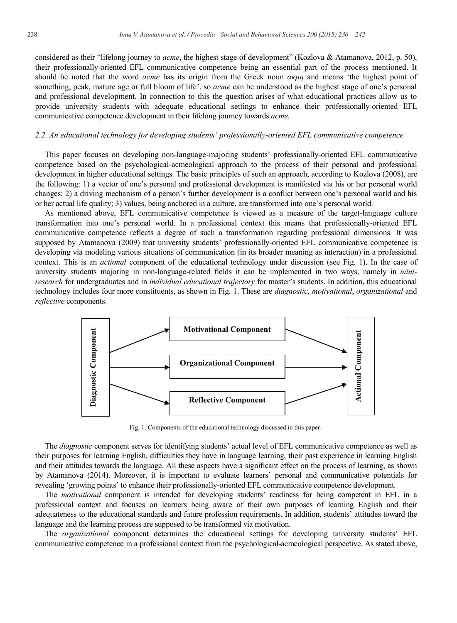considered as their "lifelong journey to *acme*, the highest stage of development" (Kozlova & Atamanova, 2012, p. 50), their professionally-oriented EFL communicative competence being an essential part of the process mentioned. It should be noted that the word *acme* has its origin from the Greek noun *ακμη* and means 'the highest point of something, peak, mature age or full bloom of life', so *acme* can be understood as the highest stage of one's personal and professional development. In connection to this the question arises of what educational practices allow us to provide university students with adequate educational settings to enhance their professionally-oriented EFL communicative competence development in their lifelong journey towards *acme*.

# *2.2. An educational technology for developing students' professionally-oriented EFL communicative competence*

This paper focuses on developing non-language-majoring students' professionally-oriented EFL communicative competence based on the psychological-acmeological approach to the process of their personal and professional development in higher educational settings. The basic principles of such an approach, according to Kozlova (2008), are the following: 1) a vector of one's personal and professional development is manifested via his or her personal world changes; 2) a driving mechanism of a person's further development is a conflict between one's personal world and his or her actual life quality; 3) values, being anchored in a culture, are transformed into one's personal world.

As mentioned above, EFL communicative competence is viewed as a measure of the target-language culture transformation into one's personal world. In a professional context this means that professionally-oriented EFL communicative competence reflects a degree of such a transformation regarding professional dimensions. It was supposed by Atamanova (2009) that university students' professionally-oriented EFL communicative competence is developing via modeling various situations of communication (in its broader meaning as interaction) in a professional context. This is an *actional* component of the educational technology under discussion (see Fig. 1). In the case of university students majoring in non-language-related fields it can be implemented in two ways, namely in *miniresearch* for undergraduates and in *individual educational trajectory* for master's students. In addition, this educational technology includes four more constituents, as shown in Fig. 1. These are *diagnostic*, *motivational*, *organizational* and *reflective* components.



Fig. 1. Components of the educational technology discussed in this paper.

The *diagnostic* component serves for identifying students' actual level of EFL communicative competence as well as their purposes for learning English, difficulties they have in language learning, their past experience in learning English and their attitudes towards the language. All these aspects have a significant effect on the process of learning, as shown by Atamanova (2014). Moreover, it is important to evaluate learners' personal and communicative potentials for revealing 'growing points' to enhance their professionally-oriented EFL communicative competence development.

The *motivational* component is intended for developing students' readiness for being competent in EFL in a professional context and focuses on learners being aware of their own purposes of learning English and their adequateness to the educational standards and future profession requirements. In addition, students' attitudes toward the language and the learning process are supposed to be transformed via motivation.

The *organizational* component determines the educational settings for developing university students' EFL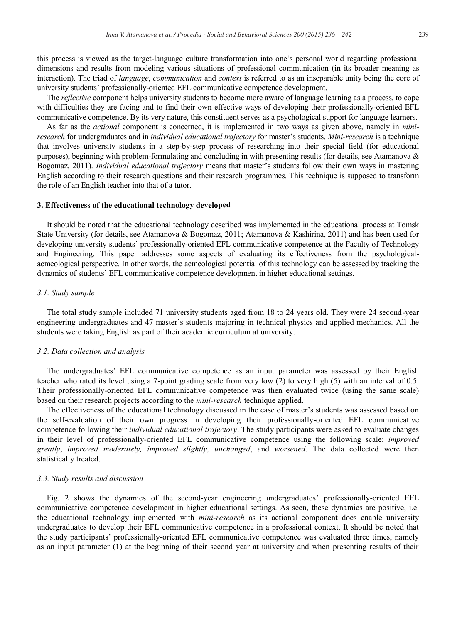this process is viewed as the target-language culture transformation into one's personal world regarding professional dimensions and results from modeling various situations of professional communication (in its broader meaning as interaction). The triad of *language*, *communication* and *context* is referred to as an inseparable unity being the core of university students' professionally-oriented EFL communicative competence development.

The *reflective* component helps university students to become more aware of language learning as a process, to cope with difficulties they are facing and to find their own effective ways of developing their professionally-oriented EFL communicative competence. By its very nature, this constituent serves as a psychological support for language learners.

As far as the *actional* component is concerned, it is implemented in two ways as given above, namely in *miniresearch* for undergraduates and in *individual educational trajectory* for master's students. *Mini-research* is a technique that involves university students in a step-by-step process of researching into their special field (for educational purposes), beginning with problem-formulating and concluding in with presenting results (for details, see Atamanova  $\&$ Bogomaz, 2011). *Individual educational trajectory* means that master's students follow their own ways in mastering English according to their research questions and their research programmes. This technique is supposed to transform the role of an English teacher into that of a tutor.

#### **3. Effectiveness of the educational technology developed**

It should be noted that the educational technology described was implemented in the educational process at Tomsk State University (for details, see Atamanova & Bogomaz, 2011; Atamanova & Kashirina, 2011) and has been used for developing university students' professionally-oriented EFL communicative competence at the Faculty of Technology and Engineering. This paper addresses some aspects of evaluating its effectiveness from the psychologicalacmeological perspective. In other words, the acmeological potential of this technology can be assessed by tracking the dynamics of students' EFL communicative competence development in higher educational settings.

# *3.1. Study sample*

The total study sample included 71 university students aged from 18 to 24 years old. They were 24 second-year engineering undergraduates and 47 master's students majoring in technical physics and applied mechanics. All the students were taking English as part of their academic curriculum at university.

#### *3.2. Data collection and analysis*

The undergraduates' EFL communicative competence as an input parameter was assessed by their English teacher who rated its level using a 7-point grading scale from very low (2) to very high (5) with an interval of 0.5. Their professionally-oriented EFL communicative competence was then evaluated twice (using the same scale) based on their research projects according to the *mini-research* technique applied.

The effectiveness of the educational technology discussed in the case of master's students was assessed based on the self-evaluation of their own progress in developing their professionally-oriented EFL communicative competence following their *individual educational trajectory*. The study participants were asked to evaluate changes in their level of professionally-oriented EFL communicative competence using the following scale: *improved greatly*, *improved moderately, improved slightly, unchanged*, and *worsened*. The data collected were then statistically treated.

#### *3.3. Study results and discussion*

Fig. 2 shows the dynamics of the second-year engineering undergraduates' professionally-oriented EFL communicative competence development in higher educational settings. As seen, these dynamics are positive, i.e. the educational technology implemented with *mini-research* as its actional component does enable university undergraduates to develop their EFL communicative competence in a professional context. It should be noted that the study participants' professionally-oriented EFL communicative competence was evaluated three times, namely as an input parameter (1) at the beginning of their second year at university and when presenting results of their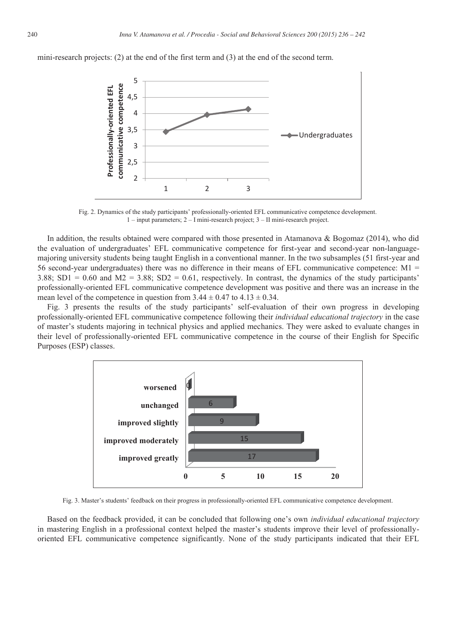mini-research projects: (2) at the end of the first term and (3) at the end of the second term.



Fig. 2. Dynamics of the study participants' professionally-oriented EFL communicative competence development. 1 – input parameters; 2 – I mini-research project; 3 – II mini-research project.

In addition, the results obtained were compared with those presented in Atamanova & Bogomaz (2014), who did the evaluation of undergraduates' EFL communicative competence for first-year and second-year non-languagemajoring university students being taught English in a conventional manner. In the two subsamples (51 first-year and 56 second-year undergraduates) there was no difference in their means of EFL communicative competence: M1 = 3.88; SD1 =  $0.60$  and M2 = 3.88; SD2 =  $0.61$ , respectively. In contrast, the dynamics of the study participants' professionally-oriented EFL communicative competence development was positive and there was an increase in the mean level of the competence in question from  $3.44 \pm 0.47$  to  $4.13 \pm 0.34$ .

Fig. 3 presents the results of the study participants' self-evaluation of their own progress in developing professionally-oriented EFL communicative competence following their *individual educational trajectory* in the case of master's students majoring in technical physics and applied mechanics. They were asked to evaluate changes in their level of professionally-oriented EFL communicative competence in the course of their English for Specific Purposes (ESP) classes.



Fig. 3. Master's students' feedback on their progress in professionally-oriented EFL communicative competence development.

Based on the feedback provided, it can be concluded that following one's own *individual educational trajectory* in mastering English in a professional context helped the master's students improve their level of professionallyoriented EFL communicative competence significantly. None of the study participants indicated that their EFL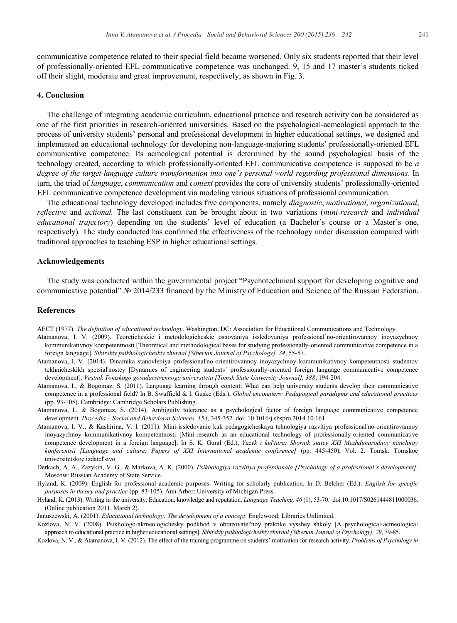communicative competence related to their special field became worsened. Only six students reported that their level of professionally-oriented EFL communicative competence was unchanged. 9, 15 and 17 master's students ticked off their slight, moderate and great improvement, respectively, as shown in Fig. 3.

# **4. Conclusion**

The challenge of integrating academic curriculum, educational practice and research activity can be considered as one of the first priorities in research-oriented universities. Based on the psychological-acmeological approach to the process of university students' personal and professional development in higher educational settings, we designed and implemented an educational technology for developing non-language-majoring students' professionally-oriented EFL communicative competence. Its acmeological potential is determined by the sound psychological basis of the technology created, according to which professionally-oriented EFL communicative competence is supposed to be *a degree of the target-language culture transformation into one's personal world regarding professional dimensions*. In turn, the triad of *language*, *communication* and *context* provides the core of university students' professionally-oriented EFL communicative competence development via modeling various situations of professional communication.

The educational technology developed includes five components, namely *diagnostic*, *motivational*, *organizational*, *reflective* and *actional.* The last constituent can be brought about in two variations (*mini-research* and *individual educational trajectory*) depending on the students' level of education (a Bachelor's course or a Master's one, respectively). The study conducted has confirmed the effectiveness of the technology under discussion compared with traditional approaches to teaching ESP in higher educational settings.

#### **Acknowledgements**

The study was conducted within the governmental project "Psychotechnical support for developing cognitive and communicative potential" № 2014/233 financed by the Ministry of Education and Science of the Russian Federation.

# **References**

- AECT (1977). *The definition of educational technology*. Washington, DC: Association for Educational Communications and Technology.
- Atamanova, I. V. (2009). Teoreticheskie i metodologicheskie osnovaniya issledovaniya professional'no-orientirovannoy inoyazychnoy kommunikativnoy kompetentnosti [Theoretical and methodological bases for studying professionally-oriented communicative competence in a foreign language]. *Sibirskiy psikhologicheskiy zhurnal [Siberian Journal of Psychology], 34*, 55-57.
- Atamanova, I. V. (2014). Dinamika stanovleniya professional'no-orientirovannoy inoyazychnoy kommunikativnoy kompetentnosti studentov tekhnicheskikh spetsial'nostey [Dynamics of engineering students' professionally-oriented foreign language communicative competence development]. *Vestnik Tomskogo gosudarstvennogo universiteta [Tomsk State University Journal], 388*, 194-204.
- Atamanova, I., & Bogomaz, S. (2011). Language learning through content: What can help university students develop their communicative competence in a professional field? In B. Swaffield & I. Guske (Eds.), *Global encounters: Pedagogical paradigms and educational practices* (pp. 93-105). Cambridge: Cambridge Scholars Publishing.
- Atamanova, I., & Bogomaz, S. (2014). Ambiguity tolerance as a psychological factor of foreign language communicative competence development. *Procedia – Social and Behavioral Sciences, 154*, 345-352. doi: 10.1016/j.sbspro.2014.10.161
- Atamanova, I. V., & Kashirina, V. I. (2011). Mini-issledovanie kak pedagogicheskaya tehnologiya razvitiya professional'no-orientirovannoy inoyazychnoy kommunikativnoy kompetentnosti [Mini-research as an educational technology of professionally-oriented communicative competence development in a foreign language]. In S. K. Gural (Ed.), *Yazyk i kul'tura: Sbornik statey XXI Mezhdunarodnoy nauchnoy konferentsii [Language and culture: Papers of XXI International academic conference]* (pp. 445-450), Vol. 2. Tomsk: Tomskoe universitetskoe izdatel'stvo.
- Derkach, A. A., Zazykin, V. G., & Markova, A. K. (2000). *Psikhologiya razvitiya professionala [Psychology of a professional's development]*. Moscow: Russian Academy of State Service.
- Hyland, K. (2009). English for professional academic purposes: Writing for scholarly publication. In D. Belcher (Ed.): *English for specific purposes in theory and practice* (pp. 83-105). Ann Arbor: University of Michigan Press.
- Hyland, K. (2013). Writing in the university: Education, knowledge and reputation. *Language Teaching, 46* (1), 53-70. doi:10.1017/S0261444811000036. (Online publication 2011, March 2).

Januszewski, A. (2001). *Educational technology: The development of a concept*. Englewood: Libraries Unlimited.

- Kozlova, N. V. (2008). Psikhologo-akmeologichesky podkhod v obrazovatel'noy praktike vysshey shkoly [A psychological-acmeological approach to educational practice in higher educational settings]. *Sibirskiy psikhologicheskiy zhurnal [Siberian Journal of Psychology], 29*, 79-85.
- Kozlova, N. V., & Atamanova, I. V. (2012). The effect of the training programme on students' motivation for research activity. *Problems of Psychology in*